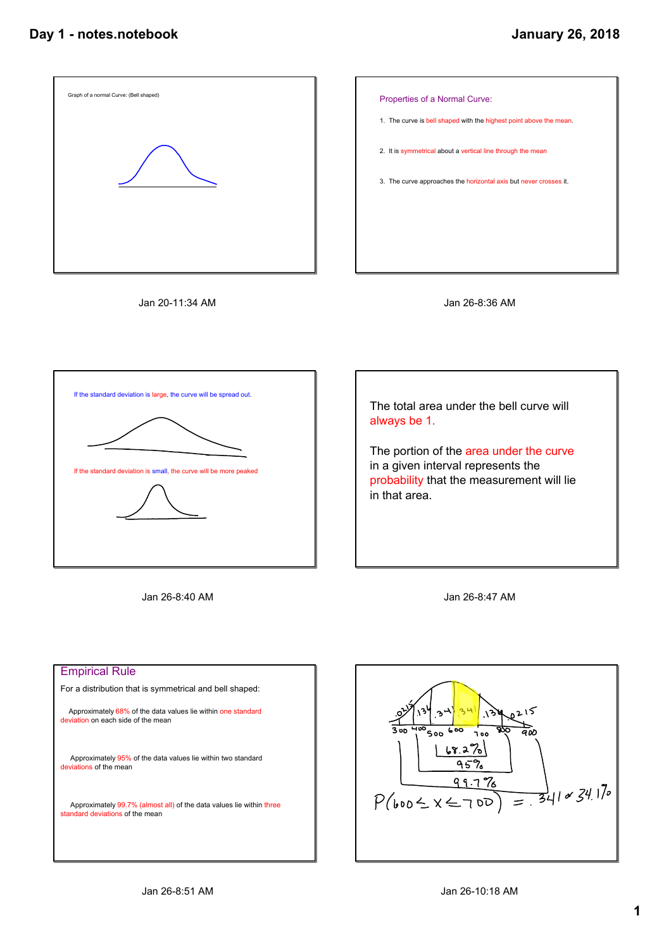









Jan 26-8:40 AM





## Empirical Rule For a distribution that is symmetrical and bell shaped: Approximately 68% of the data values lie within one standard deviation on each side of the mean Approximately 95% of the data values lie within two standard deviations of the mean Approximately 99.7% (almost all) of the data values lie within three standard deviations of the mean